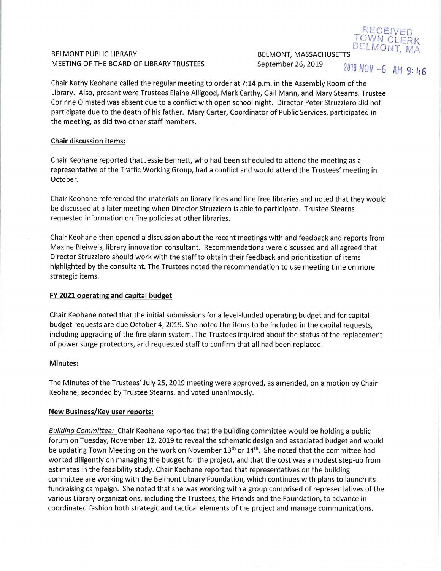# BELMONT PUBLIC LIBRARY MEETING OF THE BOARD OF LIBRARY TRUSTEES

BELMONT, MASSACHUSETTS September 26, 2019

2019 NOV -6 AM 9:46

BELMONT.

RECFIL TOWN CI

Chair Kathy Keohane called the regular meeting to order at 7:14 p.m. in the Assembly Room of the Library. Also, present were Trustees Elaine Alligood, Mark Carthy, Gail Mann, and Mary Steams. Trustee Corinne Olmsted was absent due to a conflict with open school night. Director Peter Struzziero did not participate due to the death of his father. Mary Carter, Coordinator of Public Services, participated in the meeting, as did two other staff members.

### Chair discussion items:

Chair Keohane reported that Jessie Bennett, who had been scheduled to attend the meeting as a representative of the Traffic Working Group, had a conflict and would attend the Trustees' meeting in October.

Chair Keohane referenced the materials on library fines and fine free libraries and noted that they would be discussed at a later meeting when Director Struzziero is able to participate. Trustee Steams requested information on fine policies at other libraries.

Chair Keohane then opened a discussion about the recent meetings with and feedback and reports from Maxine Bleiweis, library innovation consultant. Recommendations were discussed and all agreed that Director Struzziero should work with the staff to obtain their feedback and prioritization of items highlighted by the consultant. The Trustees noted the recommendation to use meeting time on more strategic items.

## FY 2021 operating and capital budget

Chair Keohane noted that the initial submissions for a level-funded operating budget and for capital budget requests are due October 4,2019. She noted the items to be included in the capital requests, including upgrading of the fire alarm system. The Trustees inquired about the status of the replacement of power surge protectors, and requested staff to confirm that all had been replaced.

#### Minutes:

The Minutes of the Trustees' July 25, 2019 meeting were approved, as amended, on a motion by Chair Keohane, seconded by Trustee Steams, and voted unanimously.

#### New Business/Key user reports:

Building Committee: Chair Keohane reported that the building committee would be holding a public forum on Tuesday, November 12, 2019 to reveal the schematic design and associated budget and would be updating Town Meeting on the work on November  $13<sup>th</sup>$  or  $14<sup>th</sup>$ . She noted that the committee had worked diligently on managing the budget for the project, and that the cost was a modest step-up from estimates in the feasibility study. Chair Keohane reported that representatives on the building committee are working with the Belmont Library Foundation, which continues with plans to launch its fundraising campaign. She noted that she was working with a group comprised of representatives of the various Library organizations, including the Trustees, the Friends and the Foundation, to advance in coordinated fashion both strategic and tactical elements of the project and manage communications.